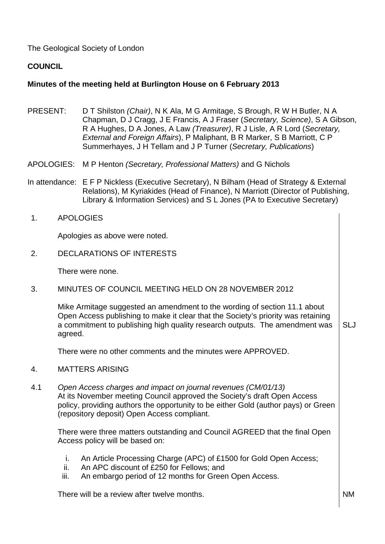The Geological Society of London

# **COUNCIL**

# **Minutes of the meeting held at Burlington House on 6 February 2013**

- PRESENT: D T Shilston *(Chair)*, N K Ala, M G Armitage, S Brough, R W H Butler, N A Chapman, D J Cragg, J E Francis, A J Fraser (*Secretary, Science)*, S A Gibson, R A Hughes, D A Jones, A Law *(Treasurer)*, R J Lisle, A R Lord (*Secretary, External and Foreign Affairs*), P Maliphant, B R Marker, S B Marriott, C P Summerhayes, J H Tellam and J P Turner (*Secretary, Publications*)
- APOLOGIES: M P Henton *(Secretary, Professional Matters)* and G Nichols
- In attendance: E F P Nickless (Executive Secretary), N Bilham (Head of Strategy & External Relations), M Kyriakides (Head of Finance), N Marriott (Director of Publishing, Library & Information Services) and S L Jones (PA to Executive Secretary)
- 1. APOLOGIES

Apologies as above were noted.

2. DECLARATIONS OF INTERESTS

There were none.

3. MINUTES OF COUNCIL MEETING HELD ON 28 NOVEMBER 2012

Mike Armitage suggested an amendment to the wording of section 11.1 about Open Access publishing to make it clear that the Society's priority was retaining a commitment to publishing high quality research outputs. The amendment was agreed. SLJ

There were no other comments and the minutes were APPROVED.

- 4. MATTERS ARISING
- 4.1 *Open Access charges and impact on journal revenues (CM/01/13)*  At its November meeting Council approved the Society's draft Open Access policy, providing authors the opportunity to be either Gold (author pays) or Green (repository deposit) Open Access compliant.

There were three matters outstanding and Council AGREED that the final Open Access policy will be based on:

- i. An Article Processing Charge (APC) of £1500 for Gold Open Access;
- ii. An APC discount of £250 for Fellows; and
- iii. An embargo period of 12 months for Green Open Access.

There will be a review after twelve months. The number of the state of  $\mathsf{N}\mathsf{M}$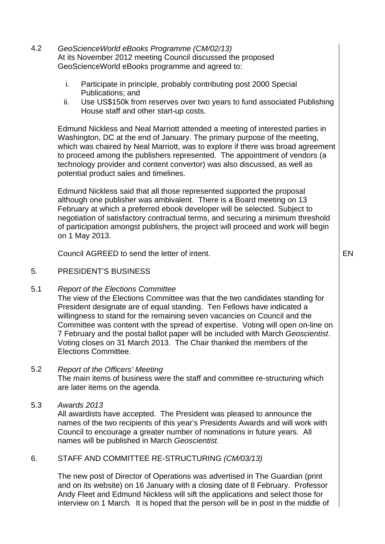- 4.2 *GeoScienceWorld eBooks Programme (CM/02/13)* At its November 2012 meeting Council discussed the proposed GeoScienceWorld eBooks programme and agreed to:
	- i. Participate in principle, probably contributing post 2000 Special Publications; and
	- ii. Use US\$150k from reserves over two years to fund associated Publishing House staff and other start-up costs.

Edmund Nickless and Neal Marriott attended a meeting of interested parties in Washington, DC at the end of January. The primary purpose of the meeting, which was chaired by Neal Marriott, was to explore if there was broad agreement to proceed among the publishers represented. The appointment of vendors (a technology provider and content convertor) was also discussed, as well as potential product sales and timelines.

Edmund Nickless said that all those represented supported the proposal although one publisher was ambivalent. There is a Board meeting on 13 February at which a preferred ebook developer will be selected. Subject to negotiation of satisfactory contractual terms, and securing a minimum threshold of participation amongst publishers, the project will proceed and work will begin on 1 May 2013.

Council AGREED to send the letter of intent.

#### 5. PRESIDENT'S BUSINESS

5.1 *Report of the Elections Committee* 

The view of the Elections Committee was that the two candidates standing for President designate are of equal standing. Ten Fellows have indicated a willingness to stand for the remaining seven vacancies on Council and the Committee was content with the spread of expertise. Voting will open on-line on 7 February and the postal ballot paper will be included with March *Geoscientist*. Voting closes on 31 March 2013. The Chair thanked the members of the Elections Committee.

- 5.2 *Report of the Officers' Meeting*  The main items of business were the staff and committee re-structuring which are later items on the agenda.
- 5.3 *Awards 2013*

All awardists have accepted. The President was pleased to announce the names of the two recipients of this year's Presidents Awards and will work with Council to encourage a greater number of nominations in future years. All names will be published in March *Geoscientist.*

# 6. STAFF AND COMMITTEE RE-STRUCTURING *(CM/03/13)*

The new post of Director of Operations was advertised in The Guardian (print and on its website) on 16 January with a closing date of 8 February. Professor Andy Fleet and Edmund Nickless will sift the applications and select those for interview on 1 March. It is hoped that the person will be in post in the middle of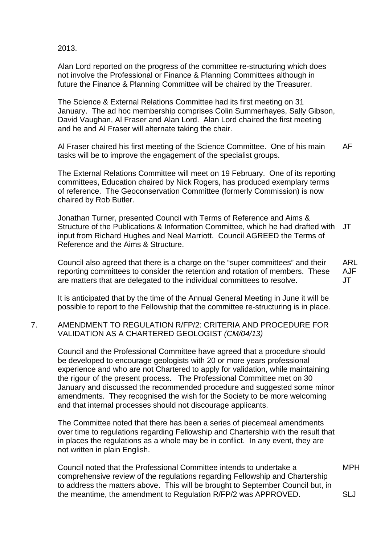|    | 2013.                                                                                                                                                                                                                                                                                                                                                                                                                                                                                                                                         |                                |
|----|-----------------------------------------------------------------------------------------------------------------------------------------------------------------------------------------------------------------------------------------------------------------------------------------------------------------------------------------------------------------------------------------------------------------------------------------------------------------------------------------------------------------------------------------------|--------------------------------|
|    | Alan Lord reported on the progress of the committee re-structuring which does<br>not involve the Professional or Finance & Planning Committees although in<br>future the Finance & Planning Committee will be chaired by the Treasurer.                                                                                                                                                                                                                                                                                                       |                                |
|    | The Science & External Relations Committee had its first meeting on 31<br>January. The ad hoc membership comprises Colin Summerhayes, Sally Gibson,<br>David Vaughan, Al Fraser and Alan Lord. Alan Lord chaired the first meeting<br>and he and AI Fraser will alternate taking the chair.                                                                                                                                                                                                                                                   |                                |
|    | Al Fraser chaired his first meeting of the Science Committee. One of his main<br>tasks will be to improve the engagement of the specialist groups.                                                                                                                                                                                                                                                                                                                                                                                            | AF                             |
|    | The External Relations Committee will meet on 19 February. One of its reporting<br>committees, Education chaired by Nick Rogers, has produced exemplary terms<br>of reference. The Geoconservation Committee (formerly Commission) is now<br>chaired by Rob Butler.                                                                                                                                                                                                                                                                           |                                |
|    | Jonathan Turner, presented Council with Terms of Reference and Aims &<br>Structure of the Publications & Information Committee, which he had drafted with<br>input from Richard Hughes and Neal Marriott. Council AGREED the Terms of<br>Reference and the Aims & Structure.                                                                                                                                                                                                                                                                  | JT                             |
|    | Council also agreed that there is a charge on the "super committees" and their<br>reporting committees to consider the retention and rotation of members. These<br>are matters that are delegated to the individual committees to resolve.                                                                                                                                                                                                                                                                                                    | <b>ARL</b><br><b>AJF</b><br>JT |
|    | It is anticipated that by the time of the Annual General Meeting in June it will be<br>possible to report to the Fellowship that the committee re-structuring is in place.                                                                                                                                                                                                                                                                                                                                                                    |                                |
| 7. | AMENDMENT TO REGULATION R/FP/2: CRITERIA AND PROCEDURE FOR<br>VALIDATION AS A CHARTERED GEOLOGIST (CM/04/13)                                                                                                                                                                                                                                                                                                                                                                                                                                  |                                |
|    | Council and the Professional Committee have agreed that a procedure should<br>be developed to encourage geologists with 20 or more years professional<br>experience and who are not Chartered to apply for validation, while maintaining<br>the rigour of the present process. The Professional Committee met on 30<br>January and discussed the recommended procedure and suggested some minor<br>amendments. They recognised the wish for the Society to be more welcoming<br>and that internal processes should not discourage applicants. |                                |
|    | The Committee noted that there has been a series of piecemeal amendments<br>over time to regulations regarding Fellowship and Chartership with the result that<br>in places the regulations as a whole may be in conflict. In any event, they are<br>not written in plain English.                                                                                                                                                                                                                                                            |                                |
|    | Council noted that the Professional Committee intends to undertake a<br>comprehensive review of the regulations regarding Fellowship and Chartership<br>to address the matters above. This will be brought to September Council but, in                                                                                                                                                                                                                                                                                                       | <b>MPH</b>                     |
|    | the meantime, the amendment to Regulation R/FP/2 was APPROVED.                                                                                                                                                                                                                                                                                                                                                                                                                                                                                | <b>SLJ</b>                     |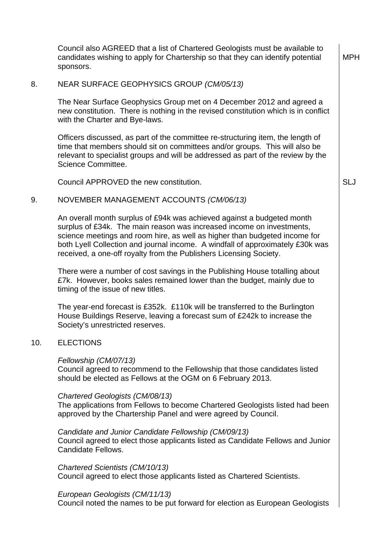Council also AGREED that a list of Chartered Geologists must be available to candidates wishing to apply for Chartership so that they can identify potential sponsors. MPH

#### 8. NEAR SURFACE GEOPHYSICS GROUP *(CM/05/13)*

The Near Surface Geophysics Group met on 4 December 2012 and agreed a new constitution. There is nothing in the revised constitution which is in conflict with the Charter and Bye-laws.

Officers discussed, as part of the committee re-structuring item, the length of time that members should sit on committees and/or groups. This will also be relevant to specialist groups and will be addressed as part of the review by the Science Committee.

Council APPROVED the new constitution. Subset of the state of the state of the state of the state of the state of the state of the state of the state of the state of the state of the state of the state of the state of the

## 9. NOVEMBER MANAGEMENT ACCOUNTS *(CM/06/13)*

An overall month surplus of £94k was achieved against a budgeted month surplus of £34k. The main reason was increased income on investments, science meetings and room hire, as well as higher than budgeted income for both Lyell Collection and journal income. A windfall of approximately £30k was received, a one-off royalty from the Publishers Licensing Society.

There were a number of cost savings in the Publishing House totalling about £7k. However, books sales remained lower than the budget, mainly due to timing of the issue of new titles.

The year-end forecast is £352k. £110k will be transferred to the Burlington House Buildings Reserve, leaving a forecast sum of £242k to increase the Society's unrestricted reserves.

## 10. ELECTIONS

#### *Fellowship (CM/07/13)*

Council agreed to recommend to the Fellowship that those candidates listed should be elected as Fellows at the OGM on 6 February 2013.

#### *Chartered Geologists (CM/08/13)*

The applications from Fellows to become Chartered Geologists listed had been approved by the Chartership Panel and were agreed by Council.

## *Candidate and Junior Candidate Fellowship (CM/09/13)*  Council agreed to elect those applicants listed as Candidate Fellows and Junior Candidate Fellows.

*Chartered Scientists (CM/10/13)* Council agreed to elect those applicants listed as Chartered Scientists.

## *European Geologists (CM/11/13)*

Council noted the names to be put forward for election as European Geologists